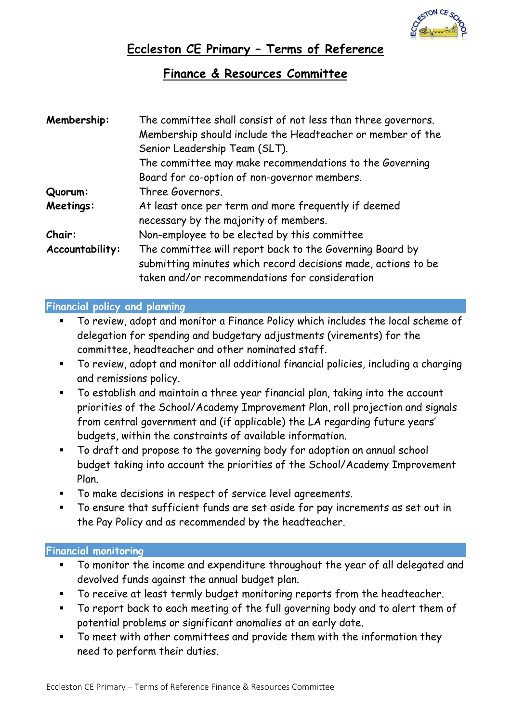

# **Eccleston CE Primary – Terms of Reference**

# **Finance & Resources Committee**

| Membership:     | The committee shall consist of not less than three governors.<br>Membership should include the Headteacher or member of the<br>Senior Leadership Team (SLT).                |
|-----------------|-----------------------------------------------------------------------------------------------------------------------------------------------------------------------------|
|                 | The committee may make recommendations to the Governing                                                                                                                     |
|                 | Board for co-option of non-governor members.                                                                                                                                |
| Quorum:         | Three Governors.                                                                                                                                                            |
| Meetings:       | At least once per term and more frequently if deemed<br>necessary by the majority of members.                                                                               |
| Chair:          | Non-employee to be elected by this committee                                                                                                                                |
| Accountability: | The committee will report back to the Governing Board by<br>submitting minutes which record decisions made, actions to be<br>taken and/or recommendations for consideration |

## **Financial policy and planning**

- To review, adopt and monitor a Finance Policy which includes the local scheme of delegation for spending and budgetary adjustments (virements) for the committee, headteacher and other nominated staff.
- To review, adopt and monitor all additional financial policies, including a charging and remissions policy.
- To establish and maintain a three year financial plan, taking into the account priorities of the School/Academy Improvement Plan, roll projection and signals from central government and (if applicable) the LA regarding future years' budgets, within the constraints of available information.
- To draft and propose to the governing body for adoption an annual school budget taking into account the priorities of the School/Academy Improvement Plan.
- To make decisions in respect of service level agreements.
- To ensure that sufficient funds are set aside for pay increments as set out in the Pay Policy and as recommended by the headteacher.

### **Financial monitoring**

- To monitor the income and expenditure throughout the year of all delegated and devolved funds against the annual budget plan.
- To receive at least termly budget monitoring reports from the headteacher.
- To report back to each meeting of the full governing body and to alert them of potential problems or significant anomalies at an early date.
- To meet with other committees and provide them with the information they need to perform their duties.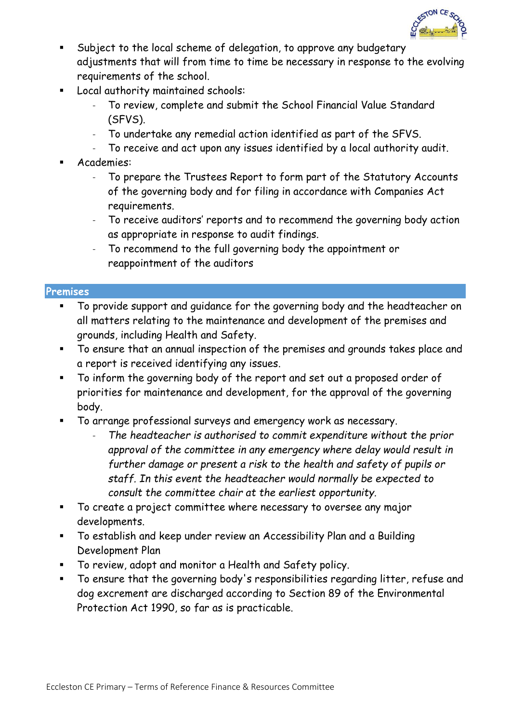

- Subject to the local scheme of delegation, to approve any budgetary adjustments that will from time to time be necessary in response to the evolving requirements of the school.
- Local authority maintained schools:
	- To review, complete and submit the School Financial Value Standard (SFVS).
	- To undertake any remedial action identified as part of the SFVS.
	- To receive and act upon any issues identified by a local authority audit.
- Academies:
	- To prepare the Trustees Report to form part of the Statutory Accounts of the governing body and for filing in accordance with Companies Act requirements.
	- To receive auditors' reports and to recommend the governing body action as appropriate in response to audit findings.
	- To recommend to the full governing body the appointment or reappointment of the auditors

#### **Premises**

- To provide support and guidance for the governing body and the headteacher on all matters relating to the maintenance and development of the premises and grounds, including Health and Safety.
- To ensure that an annual inspection of the premises and grounds takes place and a report is received identifying any issues.
- To inform the governing body of the report and set out a proposed order of priorities for maintenance and development, for the approval of the governing body.
- To arrange professional surveys and emergency work as necessary.
	- *The headteacher is authorised to commit expenditure without the prior approval of the committee in any emergency where delay would result in further damage or present a risk to the health and safety of pupils or staff. In this event the headteacher would normally be expected to consult the committee chair at the earliest opportunity.*
- To create a project committee where necessary to oversee any major developments.
- To establish and keep under review an Accessibility Plan and a Building Development Plan
- To review, adopt and monitor a Health and Safety policy.
- To ensure that the governing body's responsibilities regarding litter, refuse and dog excrement are discharged according to Section 89 of the Environmental Protection Act 1990, so far as is practicable.